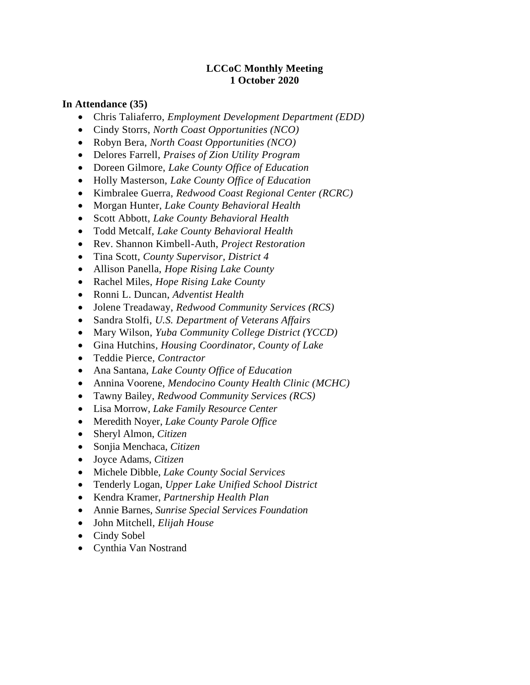#### **LCCoC Monthly Meeting 1 October 2020**

#### **In Attendance (35)**

- Chris Taliaferro, *Employment Development Department (EDD)*
- Cindy Storrs, *North Coast Opportunities (NCO)*
- Robyn Bera, *North Coast Opportunities (NCO)*
- Delores Farrell, *Praises of Zion Utility Program*
- Doreen Gilmore, *Lake County Office of Education*
- Holly Masterson, *Lake County Office of Education*
- Kimbralee Guerra, *Redwood Coast Regional Center (RCRC)*
- Morgan Hunter, *Lake County Behavioral Health*
- Scott Abbott, *Lake County Behavioral Health*
- Todd Metcalf, *Lake County Behavioral Health*
- Rev. Shannon Kimbell-Auth, *Project Restoration*
- Tina Scott, *County Supervisor, District 4*
- Allison Panella, *Hope Rising Lake County*
- Rachel Miles, *Hope Rising Lake County*
- Ronni L. Duncan, *Adventist Health*
- Jolene Treadaway, *Redwood Community Services (RCS)*
- Sandra Stolfi, *U.S. Department of Veterans Affairs*
- Mary Wilson, *Yuba Community College District (YCCD)*
- Gina Hutchins*, Housing Coordinator, County of Lake*
- Teddie Pierce, *Contractor*
- Ana Santana, *Lake County Office of Education*
- Annina Voorene*, Mendocino County Health Clinic (MCHC)*
- Tawny Bailey, *Redwood Community Services (RCS)*
- Lisa Morrow, *Lake Family Resource Center*
- Meredith Noyer, *Lake County Parole Office*
- Sheryl Almon, *Citizen*
- Sonjia Menchaca, *Citizen*
- Joyce Adams, *Citizen*
- Michele Dibble, *Lake County Social Services*
- Tenderly Logan, *Upper Lake Unified School District*
- Kendra Kramer, *Partnership Health Plan*
- Annie Barnes, *Sunrise Special Services Foundation*
- John Mitchell, *Elijah House*
- Cindy Sobel
- Cynthia Van Nostrand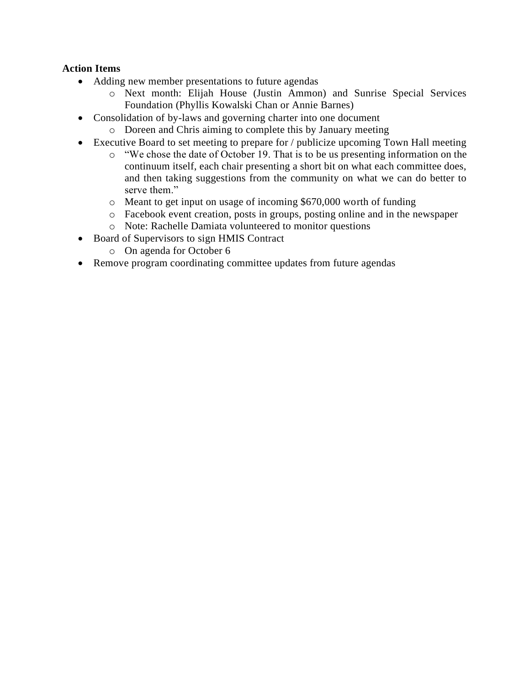### **Action Items**

- Adding new member presentations to future agendas
	- o Next month: Elijah House (Justin Ammon) and Sunrise Special Services Foundation (Phyllis Kowalski Chan or Annie Barnes)
- Consolidation of by-laws and governing charter into one document
	- o Doreen and Chris aiming to complete this by January meeting
- Executive Board to set meeting to prepare for / publicize upcoming Town Hall meeting
	- o "We chose the date of October 19. That is to be us presenting information on the continuum itself, each chair presenting a short bit on what each committee does, and then taking suggestions from the community on what we can do better to serve them."
	- o Meant to get input on usage of incoming \$670,000 worth of funding
	- o Facebook event creation, posts in groups, posting online and in the newspaper
	- o Note: Rachelle Damiata volunteered to monitor questions
- Board of Supervisors to sign HMIS Contract
	- o On agenda for October 6
- Remove program coordinating committee updates from future agendas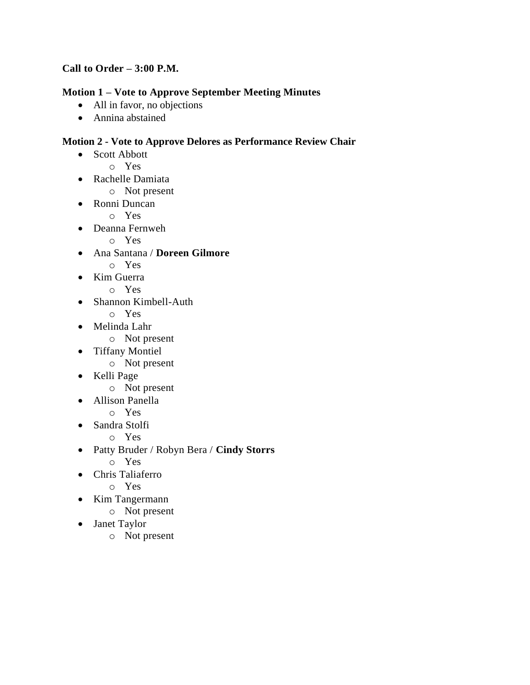## **Call to Order – 3:00 P.M.**

## **Motion 1 – Vote to Approve September Meeting Minutes**

- All in favor, no objections
- Annina abstained

### **Motion 2 - Vote to Approve Delores as Performance Review Chair**

- Scott Abbott
	- o Yes
- Rachelle Damiata
	- o Not present
- Ronni Duncan
	- o Yes
- Deanna Fernweh

o Yes

- Ana Santana / **Doreen Gilmore**
	- o Yes
- Kim Guerra
	- o Yes
- Shannon Kimbell-Auth
	- o Yes
- Melinda Lahr
	- o Not present
- Tiffany Montiel
	- o Not present
- Kelli Page
	- o Not present
- Allison Panella
	- o Yes
- Sandra Stolfi
	- o Yes
- Patty Bruder / Robyn Bera / **Cindy Storrs**
	- o Yes
- Chris Taliaferro
	- o Yes
- Kim Tangermann
	- o Not present
- Janet Taylor
	- o Not present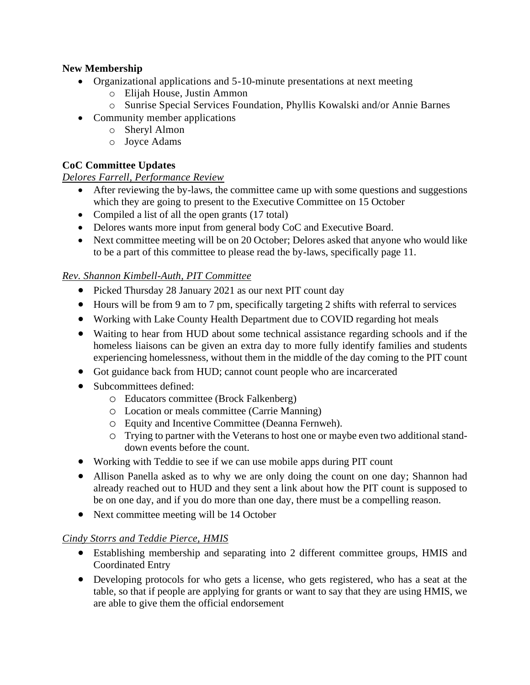## **New Membership**

- Organizational applications and 5-10-minute presentations at next meeting
	- o Elijah House, Justin Ammon
	- o Sunrise Special Services Foundation, Phyllis Kowalski and/or Annie Barnes
- Community member applications
	- o Sheryl Almon
	- o Joyce Adams

## **CoC Committee Updates**

### *Delores Farrell, Performance Review*

- After reviewing the by-laws, the committee came up with some questions and suggestions which they are going to present to the Executive Committee on 15 October
- Compiled a list of all the open grants (17 total)
- Delores wants more input from general body CoC and Executive Board.
- Next committee meeting will be on 20 October; Delores asked that anyone who would like to be a part of this committee to please read the by-laws, specifically page 11.

### *Rev. Shannon Kimbell-Auth, PIT Committee*

- Picked Thursday 28 January 2021 as our next PIT count day
- Hours will be from 9 am to 7 pm, specifically targeting 2 shifts with referral to services
- Working with Lake County Health Department due to COVID regarding hot meals
- Waiting to hear from HUD about some technical assistance regarding schools and if the homeless liaisons can be given an extra day to more fully identify families and students experiencing homelessness, without them in the middle of the day coming to the PIT count
- Got guidance back from HUD; cannot count people who are incarcerated
- Subcommittees defined:
	- o Educators committee (Brock Falkenberg)
	- o Location or meals committee (Carrie Manning)
	- o Equity and Incentive Committee (Deanna Fernweh).
	- o Trying to partner with the Veterans to host one or maybe even two additional standdown events before the count.
- Working with Teddie to see if we can use mobile apps during PIT count
- Allison Panella asked as to why we are only doing the count on one day; Shannon had already reached out to HUD and they sent a link about how the PIT count is supposed to be on one day, and if you do more than one day, there must be a compelling reason.
- Next committee meeting will be 14 October

### *Cindy Storrs and Teddie Pierce, HMIS*

- Establishing membership and separating into 2 different committee groups, HMIS and Coordinated Entry
- Developing protocols for who gets a license, who gets registered, who has a seat at the table, so that if people are applying for grants or want to say that they are using HMIS, we are able to give them the official endorsement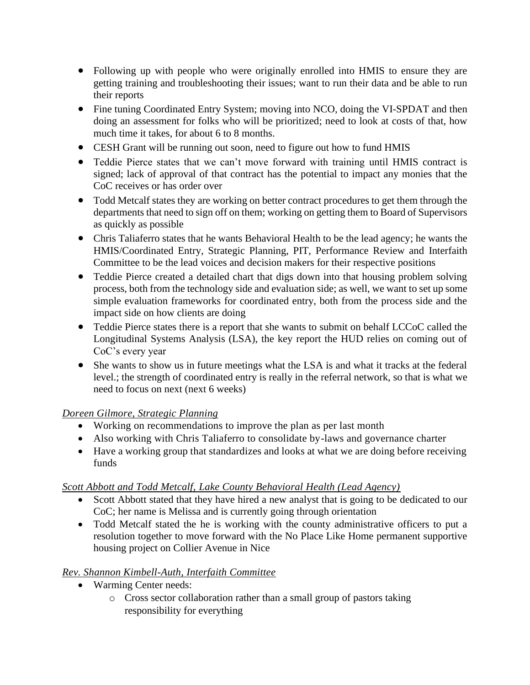- Following up with people who were originally enrolled into HMIS to ensure they are getting training and troubleshooting their issues; want to run their data and be able to run their reports
- Fine tuning Coordinated Entry System; moving into NCO, doing the VI-SPDAT and then doing an assessment for folks who will be prioritized; need to look at costs of that, how much time it takes, for about 6 to 8 months.
- CESH Grant will be running out soon, need to figure out how to fund HMIS
- Teddie Pierce states that we can't move forward with training until HMIS contract is signed; lack of approval of that contract has the potential to impact any monies that the CoC receives or has order over
- Todd Metcalf states they are working on better contract procedures to get them through the departments that need to sign off on them; working on getting them to Board of Supervisors as quickly as possible
- Chris Taliaferro states that he wants Behavioral Health to be the lead agency; he wants the HMIS/Coordinated Entry, Strategic Planning, PIT, Performance Review and Interfaith Committee to be the lead voices and decision makers for their respective positions
- Teddie Pierce created a detailed chart that digs down into that housing problem solving process, both from the technology side and evaluation side; as well, we want to set up some simple evaluation frameworks for coordinated entry, both from the process side and the impact side on how clients are doing
- Teddie Pierce states there is a report that she wants to submit on behalf LCCoC called the Longitudinal Systems Analysis (LSA), the key report the HUD relies on coming out of CoC's every year
- She wants to show us in future meetings what the LSA is and what it tracks at the federal level.; the strength of coordinated entry is really in the referral network, so that is what we need to focus on next (next 6 weeks)

### *Doreen Gilmore, Strategic Planning*

- Working on recommendations to improve the plan as per last month
- Also working with Chris Taliaferro to consolidate by-laws and governance charter
- Have a working group that standardizes and looks at what we are doing before receiving funds

### *Scott Abbott and Todd Metcalf, Lake County Behavioral Health (Lead Agency)*

- Scott Abbott stated that they have hired a new analyst that is going to be dedicated to our CoC; her name is Melissa and is currently going through orientation
- Todd Metcalf stated the he is working with the county administrative officers to put a resolution together to move forward with the No Place Like Home permanent supportive housing project on Collier Avenue in Nice

## *Rev. Shannon Kimbell-Auth, Interfaith Committee*

- Warming Center needs:
	- o Cross sector collaboration rather than a small group of pastors taking responsibility for everything